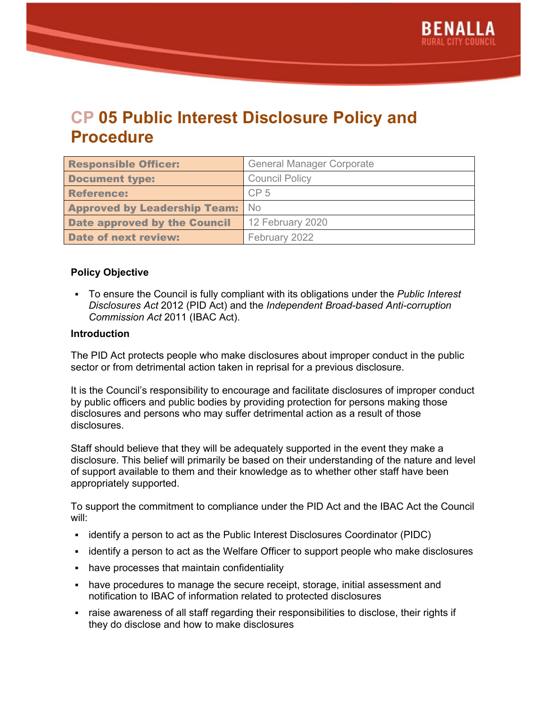

# **CP 05 Public Interest Disclosure Policy and Procedure**

| <b>Responsible Officer:</b>            | <b>General Manager Corporate</b> |
|----------------------------------------|----------------------------------|
| <b>Document type:</b>                  | <b>Council Policy</b>            |
| <b>Reference:</b>                      | CP <sub>5</sub>                  |
| <b>Approved by Leadership Team:</b> No |                                  |
| <b>Date approved by the Council</b>    | 12 February 2020                 |
| <b>Date of next review:</b>            | February 2022                    |

#### **Policy Objective**

▪ To ensure the Council is fully compliant with its obligations under the *Public Interest Disclosures Act* 2012 (PID Act) and the *Independent Broad-based Anti-corruption Commission Act* 2011 (IBAC Act).

#### **Introduction**

The PID Act protects people who make disclosures about improper conduct in the public sector or from detrimental action taken in reprisal for a previous disclosure.

It is the Council's responsibility to encourage and facilitate disclosures of improper conduct by public officers and public bodies by providing protection for persons making those disclosures and persons who may suffer detrimental action as a result of those disclosures.

Staff should believe that they will be adequately supported in the event they make a disclosure. This belief will primarily be based on their understanding of the nature and level of support available to them and their knowledge as to whether other staff have been appropriately supported.

To support the commitment to compliance under the PID Act and the IBAC Act the Council will:

- identify a person to act as the Public Interest Disclosures Coordinator (PIDC)
- identify a person to act as the Welfare Officer to support people who make disclosures
- have processes that maintain confidentiality
- have procedures to manage the secure receipt, storage, initial assessment and notification to IBAC of information related to protected disclosures
- raise awareness of all staff regarding their responsibilities to disclose, their rights if they do disclose and how to make disclosures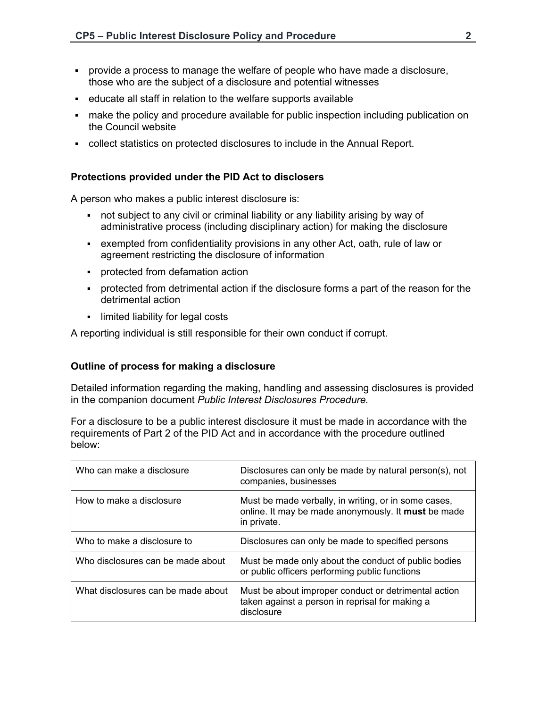- provide a process to manage the welfare of people who have made a disclosure, those who are the subject of a disclosure and potential witnesses
- educate all staff in relation to the welfare supports available
- make the policy and procedure available for public inspection including publication on the Council website
- collect statistics on protected disclosures to include in the Annual Report.

#### **Protections provided under the PID Act to disclosers**

A person who makes a public interest disclosure is:

- not subject to any civil or criminal liability or any liability arising by way of administrative process (including disciplinary action) for making the disclosure
- exempted from confidentiality provisions in any other Act, oath, rule of law or agreement restricting the disclosure of information
- protected from defamation action
- protected from detrimental action if the disclosure forms a part of the reason for the detrimental action
- limited liability for legal costs

A reporting individual is still responsible for their own conduct if corrupt.

#### **Outline of process for making a disclosure**

Detailed information regarding the making, handling and assessing disclosures is provided in the companion document *Public Interest Disclosures Procedure.*

For a disclosure to be a public interest disclosure it must be made in accordance with the requirements of Part 2 of the PID Act and in accordance with the procedure outlined below:

| Who can make a disclosure          | Disclosures can only be made by natural person(s), not<br>companies, businesses                                            |
|------------------------------------|----------------------------------------------------------------------------------------------------------------------------|
| How to make a disclosure           | Must be made verbally, in writing, or in some cases,<br>online. It may be made anonymously. It must be made<br>in private. |
| Who to make a disclosure to        | Disclosures can only be made to specified persons                                                                          |
| Who disclosures can be made about  | Must be made only about the conduct of public bodies<br>or public officers performing public functions                     |
| What disclosures can be made about | Must be about improper conduct or detrimental action<br>taken against a person in reprisal for making a<br>disclosure      |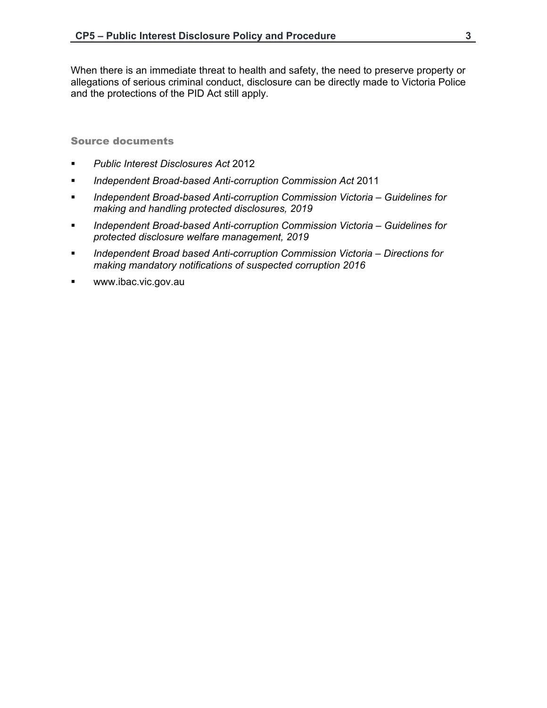When there is an immediate threat to health and safety, the need to preserve property or allegations of serious criminal conduct, disclosure can be directly made to Victoria Police and the protections of the PID Act still apply.

Source documents

- *Public Interest Disclosures Act* 2012
- *Independent Broad-based Anti-corruption Commission Act* 2011
- *Independent Broad-based Anti-corruption Commission Victoria Guidelines for making and handling protected disclosures, 2019*
- *Independent Broad-based Anti-corruption Commission Victoria Guidelines for protected disclosure welfare management, 2019*
- *Independent Broad based Anti-corruption Commission Victoria Directions for making mandatory notifications of suspected corruption 2016*
- www.ibac.vic.gov.au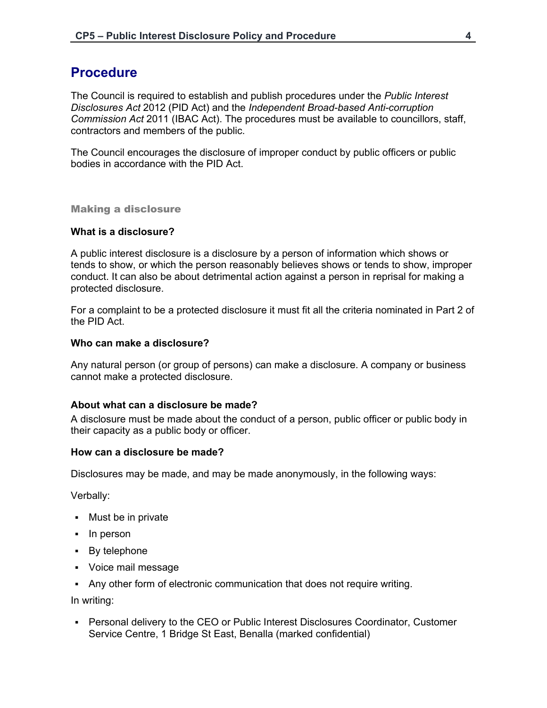## **Procedure**

The Council is required to establish and publish procedures under the *Public Interest Disclosures Act* 2012 (PID Act) and the *Independent Broad-based Anti-corruption Commission Act* 2011 (IBAC Act). The procedures must be available to councillors, staff, contractors and members of the public.

The Council encourages the disclosure of improper conduct by public officers or public bodies in accordance with the PID Act.

Making a disclosure

#### **What is a disclosure?**

A public interest disclosure is a disclosure by a person of information which shows or tends to show, or which the person reasonably believes shows or tends to show, improper conduct. It can also be about detrimental action against a person in reprisal for making a protected disclosure.

For a complaint to be a protected disclosure it must fit all the criteria nominated in Part 2 of the PID Act.

#### **Who can make a disclosure?**

Any natural person (or group of persons) can make a disclosure. A company or business cannot make a protected disclosure.

#### **About what can a disclosure be made?**

A disclosure must be made about the conduct of a person, public officer or public body in their capacity as a public body or officer.

#### **How can a disclosure be made?**

Disclosures may be made, and may be made anonymously, in the following ways:

Verbally:

- Must be in private
- In person
- By telephone
- Voice mail message
- Any other form of electronic communication that does not require writing.

In writing:

▪ Personal delivery to the CEO or Public Interest Disclosures Coordinator, Customer Service Centre, 1 Bridge St East, Benalla (marked confidential)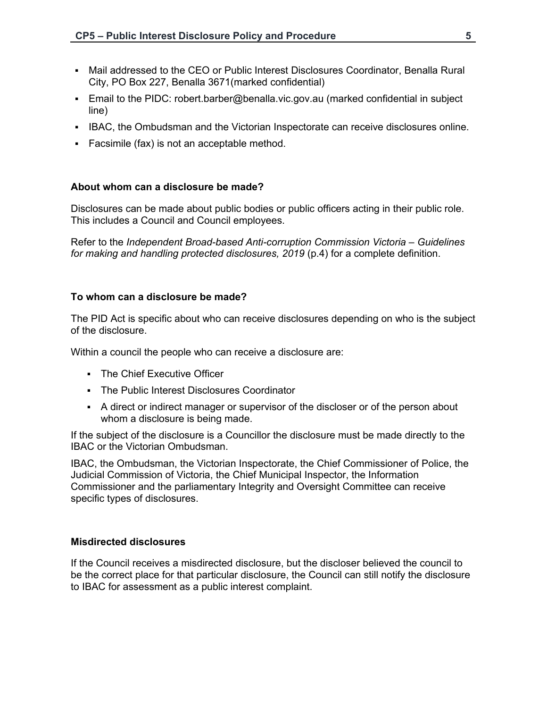- Mail addressed to the CEO or Public Interest Disclosures Coordinator, Benalla Rural City, PO Box 227, Benalla 3671(marked confidential)
- Email to the PIDC: robert.barber@benalla.vic.gov.au (marked confidential in subject line)
- IBAC, the Ombudsman and the Victorian Inspectorate can receive disclosures online.
- Facsimile (fax) is not an acceptable method.

#### **About whom can a disclosure be made?**

Disclosures can be made about public bodies or public officers acting in their public role. This includes a Council and Council employees.

Refer to the *Independent Broad-based Anti-corruption Commission Victoria – Guidelines*  for making and handling protected disclosures, 2019 (p.4) for a complete definition.

#### **To whom can a disclosure be made?**

The PID Act is specific about who can receive disclosures depending on who is the subject of the disclosure.

Within a council the people who can receive a disclosure are:

- **The Chief Executive Officer**
- The Public Interest Disclosures Coordinator
- A direct or indirect manager or supervisor of the discloser or of the person about whom a disclosure is being made.

If the subject of the disclosure is a Councillor the disclosure must be made directly to the IBAC or the Victorian Ombudsman.

IBAC, the Ombudsman, the Victorian Inspectorate, the Chief Commissioner of Police, the Judicial Commission of Victoria, the Chief Municipal Inspector, the Information Commissioner and the parliamentary Integrity and Oversight Committee can receive specific types of disclosures.

#### **Misdirected disclosures**

If the Council receives a misdirected disclosure, but the discloser believed the council to be the correct place for that particular disclosure, the Council can still notify the disclosure to IBAC for assessment as a public interest complaint.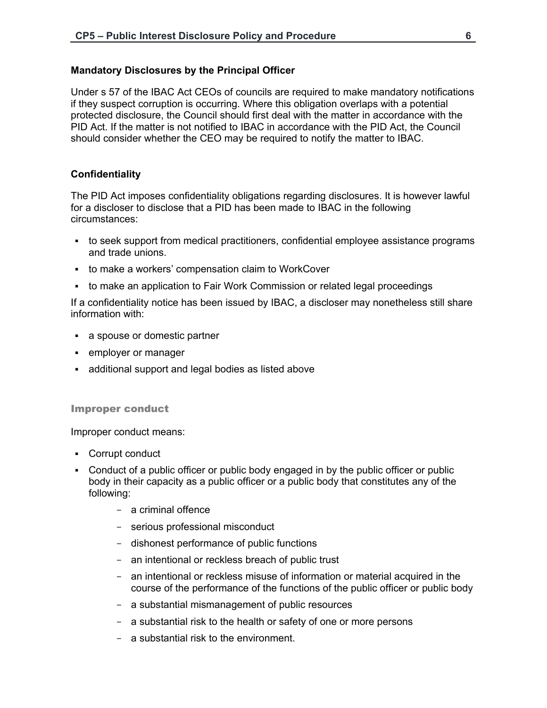#### **Mandatory Disclosures by the Principal Officer**

Under s 57 of the IBAC Act CEOs of councils are required to make mandatory notifications if they suspect corruption is occurring. Where this obligation overlaps with a potential protected disclosure, the Council should first deal with the matter in accordance with the PID Act. If the matter is not notified to IBAC in accordance with the PID Act, the Council should consider whether the CEO may be required to notify the matter to IBAC.

#### **Confidentiality**

The PID Act imposes confidentiality obligations regarding disclosures. It is however lawful for a discloser to disclose that a PID has been made to IBAC in the following circumstances:

- to seek support from medical practitioners, confidential employee assistance programs and trade unions.
- to make a workers' compensation claim to WorkCover
- to make an application to Fair Work Commission or related legal proceedings

If a confidentiality notice has been issued by IBAC, a discloser may nonetheless still share information with:

- a spouse or domestic partner
- employer or manager
- additional support and legal bodies as listed above

#### Improper conduct

Improper conduct means:

- Corrupt conduct
- Conduct of a public officer or public body engaged in by the public officer or public body in their capacity as a public officer or a public body that constitutes any of the following:
	- a criminal offence
	- serious professional misconduct
	- dishonest performance of public functions
	- an intentional or reckless breach of public trust
	- an intentional or reckless misuse of information or material acquired in the course of the performance of the functions of the public officer or public body
	- a substantial mismanagement of public resources
	- a substantial risk to the health or safety of one or more persons
	- a substantial risk to the environment.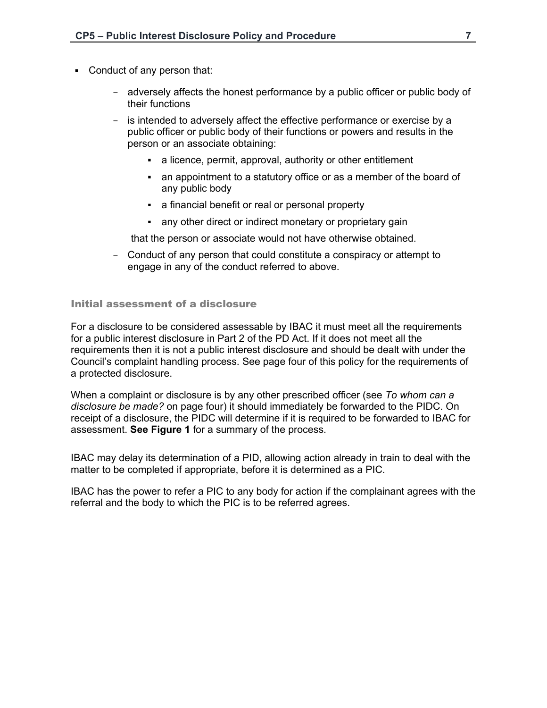- Conduct of any person that:
	- adversely affects the honest performance by a public officer or public body of their functions
	- is intended to adversely affect the effective performance or exercise by a public officer or public body of their functions or powers and results in the person or an associate obtaining:
		- a licence, permit, approval, authority or other entitlement
		- an appointment to a statutory office or as a member of the board of any public body
		- **EXED** a financial benefit or real or personal property
		- any other direct or indirect monetary or proprietary gain

that the person or associate would not have otherwise obtained.

- Conduct of any person that could constitute a conspiracy or attempt to engage in any of the conduct referred to above.

Initial assessment of a disclosure

For a disclosure to be considered assessable by IBAC it must meet all the requirements for a public interest disclosure in Part 2 of the PD Act. If it does not meet all the requirements then it is not a public interest disclosure and should be dealt with under the Council's complaint handling process. See page four of this policy for the requirements of a protected disclosure.

When a complaint or disclosure is by any other prescribed officer (see *To whom can a disclosure be made?* on page four) it should immediately be forwarded to the PIDC. On receipt of a disclosure, the PIDC will determine if it is required to be forwarded to IBAC for assessment. **See Figure 1** for a summary of the process.

IBAC may delay its determination of a PID, allowing action already in train to deal with the matter to be completed if appropriate, before it is determined as a PIC.

IBAC has the power to refer a PIC to any body for action if the complainant agrees with the referral and the body to which the PIC is to be referred agrees.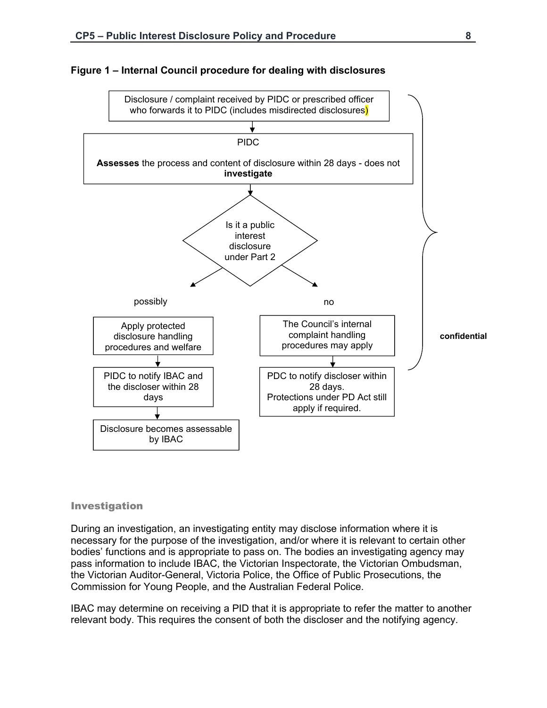

#### **Figure 1 – Internal Council procedure for dealing with disclosures**

#### Investigation

During an investigation, an investigating entity may disclose information where it is necessary for the purpose of the investigation, and/or where it is relevant to certain other bodies' functions and is appropriate to pass on. The bodies an investigating agency may pass information to include IBAC, the Victorian Inspectorate, the Victorian Ombudsman, the Victorian Auditor-General, Victoria Police, the Office of Public Prosecutions, the Commission for Young People, and the Australian Federal Police.

IBAC may determine on receiving a PID that it is appropriate to refer the matter to another relevant body. This requires the consent of both the discloser and the notifying agency.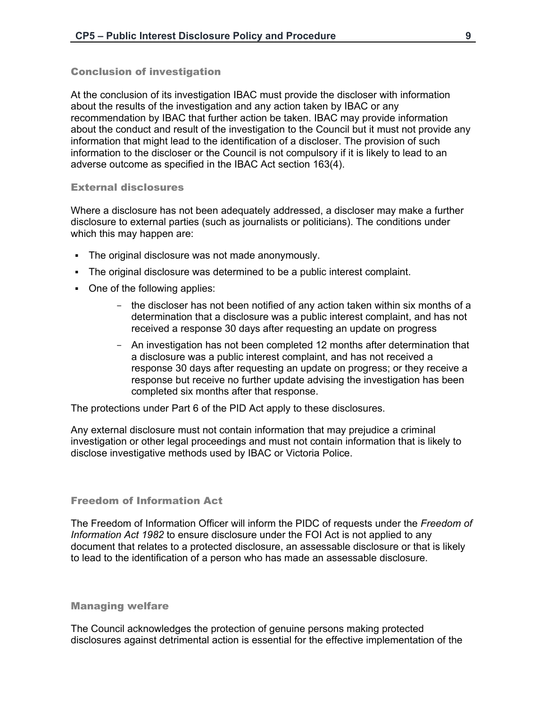#### Conclusion of investigation

At the conclusion of its investigation IBAC must provide the discloser with information about the results of the investigation and any action taken by IBAC or any recommendation by IBAC that further action be taken. IBAC may provide information about the conduct and result of the investigation to the Council but it must not provide any information that might lead to the identification of a discloser. The provision of such information to the discloser or the Council is not compulsory if it is likely to lead to an adverse outcome as specified in the IBAC Act section 163(4).

#### External disclosures

Where a disclosure has not been adequately addressed, a discloser may make a further disclosure to external parties (such as journalists or politicians). The conditions under which this may happen are:

- The original disclosure was not made anonymously.
- The original disclosure was determined to be a public interest complaint.
- One of the following applies:
	- the discloser has not been notified of any action taken within six months of a determination that a disclosure was a public interest complaint, and has not received a response 30 days after requesting an update on progress
	- An investigation has not been completed 12 months after determination that a disclosure was a public interest complaint, and has not received a response 30 days after requesting an update on progress; or they receive a response but receive no further update advising the investigation has been completed six months after that response.

The protections under Part 6 of the PID Act apply to these disclosures.

Any external disclosure must not contain information that may prejudice a criminal investigation or other legal proceedings and must not contain information that is likely to disclose investigative methods used by IBAC or Victoria Police.

#### Freedom of Information Act

The Freedom of Information Officer will inform the PIDC of requests under the *Freedom of Information Act 1982* to ensure disclosure under the FOI Act is not applied to any document that relates to a protected disclosure, an assessable disclosure or that is likely to lead to the identification of a person who has made an assessable disclosure.

#### Managing welfare

The Council acknowledges the protection of genuine persons making protected disclosures against detrimental action is essential for the effective implementation of the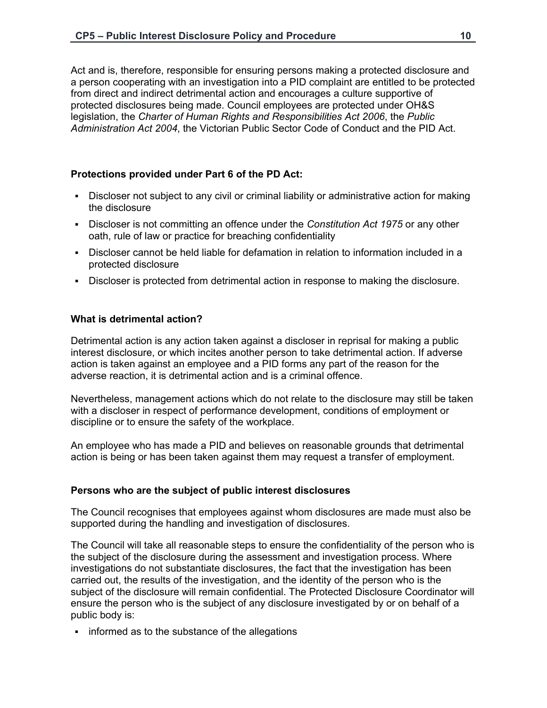Act and is, therefore, responsible for ensuring persons making a protected disclosure and a person cooperating with an investigation into a PID complaint are entitled to be protected from direct and indirect detrimental action and encourages a culture supportive of protected disclosures being made. Council employees are protected under OH&S legislation, the *Charter of Human Rights and Responsibilities Act 2006*, the *Public Administration Act 2004*, the Victorian Public Sector Code of Conduct and the PID Act.

## **Protections provided under Part 6 of the PD Act:**

- Discloser not subject to any civil or criminal liability or administrative action for making the disclosure
- Discloser is not committing an offence under the *Constitution Act 1975* or any other oath, rule of law or practice for breaching confidentiality
- Discloser cannot be held liable for defamation in relation to information included in a protected disclosure
- Discloser is protected from detrimental action in response to making the disclosure.

#### **What is detrimental action?**

Detrimental action is any action taken against a discloser in reprisal for making a public interest disclosure, or which incites another person to take detrimental action. If adverse action is taken against an employee and a PID forms any part of the reason for the adverse reaction, it is detrimental action and is a criminal offence.

Nevertheless, management actions which do not relate to the disclosure may still be taken with a discloser in respect of performance development, conditions of employment or discipline or to ensure the safety of the workplace.

An employee who has made a PID and believes on reasonable grounds that detrimental action is being or has been taken against them may request a transfer of employment.

## **Persons who are the subject of public interest disclosures**

The Council recognises that employees against whom disclosures are made must also be supported during the handling and investigation of disclosures.

The Council will take all reasonable steps to ensure the confidentiality of the person who is the subject of the disclosure during the assessment and investigation process. Where investigations do not substantiate disclosures, the fact that the investigation has been carried out, the results of the investigation, and the identity of the person who is the subject of the disclosure will remain confidential. The Protected Disclosure Coordinator will ensure the person who is the subject of any disclosure investigated by or on behalf of a public body is:

**•** informed as to the substance of the allegations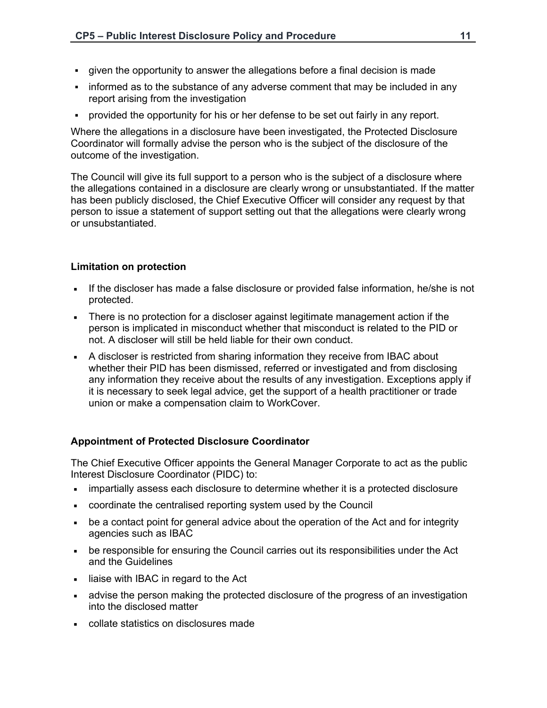- given the opportunity to answer the allegations before a final decision is made
- informed as to the substance of any adverse comment that may be included in any report arising from the investigation
- provided the opportunity for his or her defense to be set out fairly in any report.

Where the allegations in a disclosure have been investigated, the Protected Disclosure Coordinator will formally advise the person who is the subject of the disclosure of the outcome of the investigation.

The Council will give its full support to a person who is the subject of a disclosure where the allegations contained in a disclosure are clearly wrong or unsubstantiated. If the matter has been publicly disclosed, the Chief Executive Officer will consider any request by that person to issue a statement of support setting out that the allegations were clearly wrong or unsubstantiated.

## **Limitation on protection**

- If the discloser has made a false disclosure or provided false information, he/she is not protected.
- There is no protection for a discloser against legitimate management action if the person is implicated in misconduct whether that misconduct is related to the PID or not. A discloser will still be held liable for their own conduct.
- A discloser is restricted from sharing information they receive from IBAC about whether their PID has been dismissed, referred or investigated and from disclosing any information they receive about the results of any investigation. Exceptions apply if it is necessary to seek legal advice, get the support of a health practitioner or trade union or make a compensation claim to WorkCover.

## **Appointment of Protected Disclosure Coordinator**

The Chief Executive Officer appoints the General Manager Corporate to act as the public Interest Disclosure Coordinator (PIDC) to:

- **impartially assess each disclosure to determine whether it is a protected disclosure**
- coordinate the centralised reporting system used by the Council
- be a contact point for general advice about the operation of the Act and for integrity agencies such as IBAC
- be responsible for ensuring the Council carries out its responsibilities under the Act and the Guidelines
- I liaise with IBAC in regard to the Act
- advise the person making the protected disclosure of the progress of an investigation into the disclosed matter
- collate statistics on disclosures made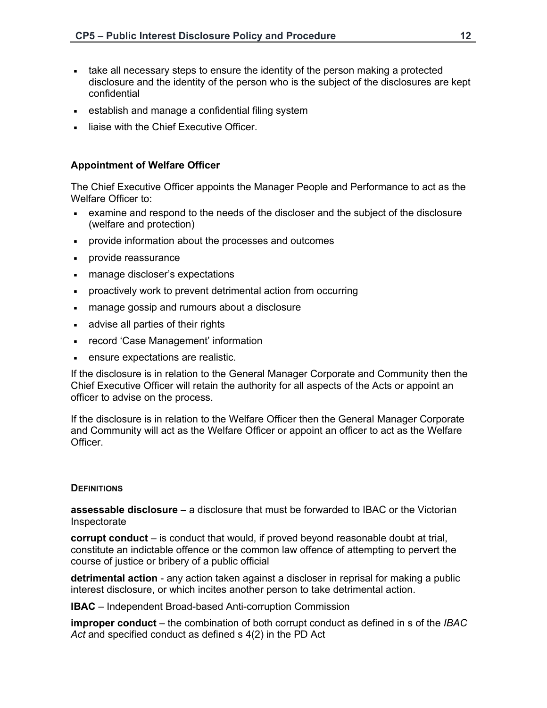- take all necessary steps to ensure the identity of the person making a protected disclosure and the identity of the person who is the subject of the disclosures are kept confidential
- establish and manage a confidential filing system
- liaise with the Chief Executive Officer.

## **Appointment of Welfare Officer**

The Chief Executive Officer appoints the Manager People and Performance to act as the Welfare Officer to:

- examine and respond to the needs of the discloser and the subject of the disclosure (welfare and protection)
- provide information about the processes and outcomes
- provide reassurance
- manage discloser's expectations
- proactively work to prevent detrimental action from occurring
- manage gossip and rumours about a disclosure
- **advise all parties of their rights**
- record 'Case Management' information
- ensure expectations are realistic.

If the disclosure is in relation to the General Manager Corporate and Community then the Chief Executive Officer will retain the authority for all aspects of the Acts or appoint an officer to advise on the process.

If the disclosure is in relation to the Welfare Officer then the General Manager Corporate and Community will act as the Welfare Officer or appoint an officer to act as the Welfare Officer.

#### **DEFINITIONS**

**assessable disclosure –** a disclosure that must be forwarded to IBAC or the Victorian Inspectorate

**corrupt conduct** – is conduct that would, if proved beyond reasonable doubt at trial, constitute an indictable offence or the common law offence of attempting to pervert the course of justice or bribery of a public official

**detrimental action** - any action taken against a discloser in reprisal for making a public interest disclosure, or which incites another person to take detrimental action.

**IBAC** – Independent Broad-based Anti-corruption Commission

**improper conduct** – the combination of both corrupt conduct as defined in s of the *IBAC Act* and specified conduct as defined s 4(2) in the PD Act